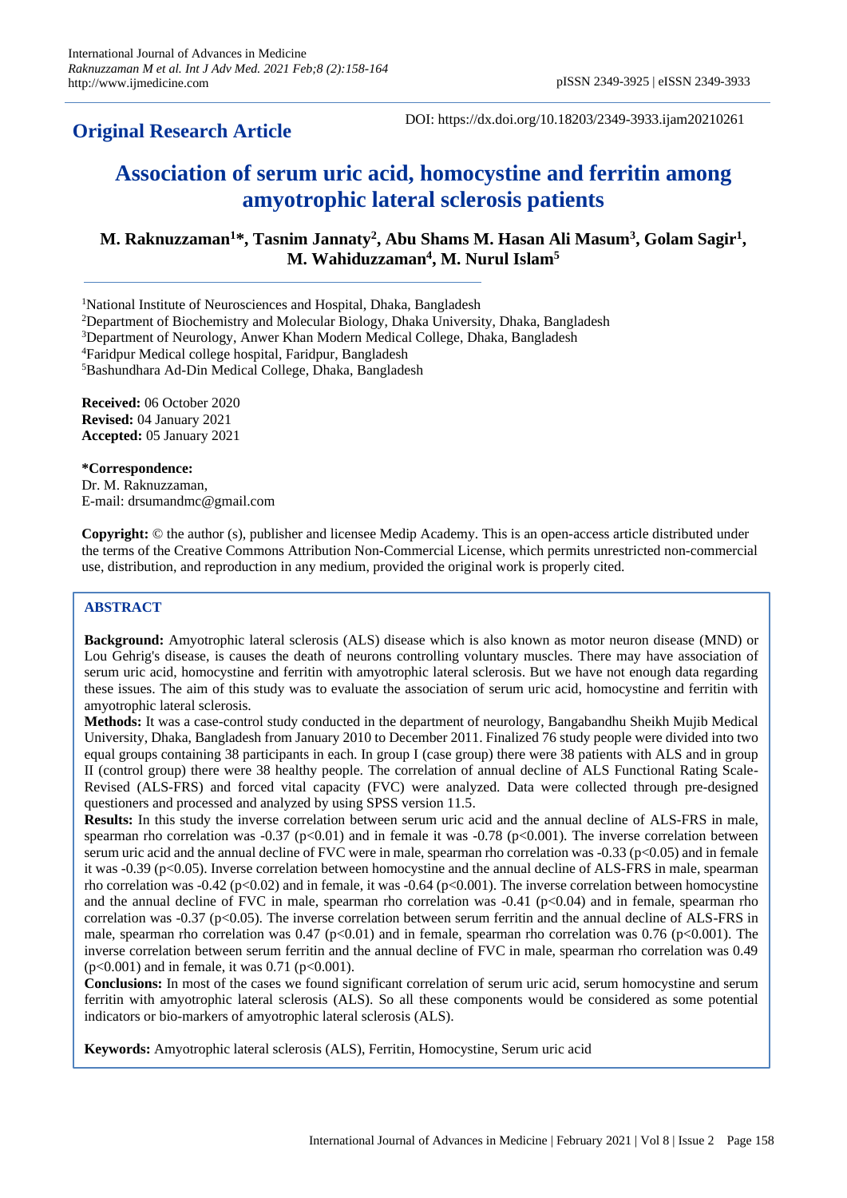## **Original Research Article**

DOI: https://dx.doi.org/10.18203/2349-3933.ijam20210261

# **Association of serum uric acid, homocystine and ferritin among amyotrophic lateral sclerosis patients**

**M. Raknuzzaman<sup>1</sup>\*, Tasnim Jannaty<sup>2</sup> , Abu Shams M. Hasan Ali Masum<sup>3</sup> , Golam Sagir<sup>1</sup> , M. Wahiduzzaman<sup>4</sup> , M. Nurul Islam<sup>5</sup>**

<sup>1</sup>National Institute of Neurosciences and Hospital, Dhaka, Bangladesh

<sup>2</sup>Department of Biochemistry and Molecular Biology, Dhaka University, Dhaka, Bangladesh

<sup>3</sup>Department of Neurology, Anwer Khan Modern Medical College, Dhaka, Bangladesh

<sup>4</sup>Faridpur Medical college hospital, Faridpur, Bangladesh

<sup>5</sup>Bashundhara Ad-Din Medical College, Dhaka, Bangladesh

**Received:** 06 October 2020 **Revised:** 04 January 2021 **Accepted:** 05 January 2021

**\*Correspondence:** Dr. M. Raknuzzaman, E-mail: drsumandmc@gmail.com

**Copyright:** © the author (s), publisher and licensee Medip Academy. This is an open-access article distributed under the terms of the Creative Commons Attribution Non-Commercial License, which permits unrestricted non-commercial use, distribution, and reproduction in any medium, provided the original work is properly cited.

## **ABSTRACT**

**Background:** Amyotrophic lateral sclerosis (ALS) disease which is also known as motor neuron disease (MND) or Lou Gehrig's disease, is causes the death of neurons controlling voluntary muscles. There may have association of serum uric acid, homocystine and ferritin with amyotrophic lateral sclerosis. But we have not enough data regarding these issues. The aim of this study was to evaluate the association of serum uric acid, homocystine and ferritin with amyotrophic lateral sclerosis.

**Methods:** It was a case-control study conducted in the department of neurology, Bangabandhu Sheikh Mujib Medical University, Dhaka, Bangladesh from January 2010 to December 2011. Finalized 76 study people were divided into two equal groups containing 38 participants in each. In group I (case group) there were 38 patients with ALS and in group II (control group) there were 38 healthy people. The correlation of annual decline of ALS Functional Rating Scale-Revised (ALS-FRS) and forced vital capacity (FVC) were analyzed. Data were collected through pre-designed questioners and processed and analyzed by using SPSS version 11.5.

**Results:** In this study the inverse correlation between serum uric acid and the annual decline of ALS-FRS in male, spearman rho correlation was  $-0.37$  (p<0.01) and in female it was  $-0.78$  (p<0.001). The inverse correlation between serum uric acid and the annual decline of FVC were in male, spearman rho correlation was -0.33 (p<0.05) and in female it was  $-0.39$  (p<0.05). Inverse correlation between homocystine and the annual decline of ALS-FRS in male, spearman rho correlation was -0.42 (p<0.02) and in female, it was -0.64 (p<0.001). The inverse correlation between homocystine and the annual decline of FVC in male, spearman rho correlation was  $-0.41$  ( $p<0.04$ ) and in female, spearman rho correlation was -0.37 (p<0.05). The inverse correlation between serum ferritin and the annual decline of ALS-FRS in male, spearman rho correlation was  $0.47$  (p<0.01) and in female, spearman rho correlation was  $0.76$  (p<0.001). The inverse correlation between serum ferritin and the annual decline of FVC in male, spearman rho correlation was 0.49  $(p<0.001)$  and in female, it was 0.71 ( $p<0.001$ ).

**Conclusions:** In most of the cases we found significant correlation of serum uric acid, serum homocystine and serum ferritin with amyotrophic lateral sclerosis (ALS). So all these components would be considered as some potential indicators or bio-markers of amyotrophic lateral sclerosis (ALS).

**Keywords:** Amyotrophic lateral sclerosis (ALS), Ferritin, Homocystine, Serum uric acid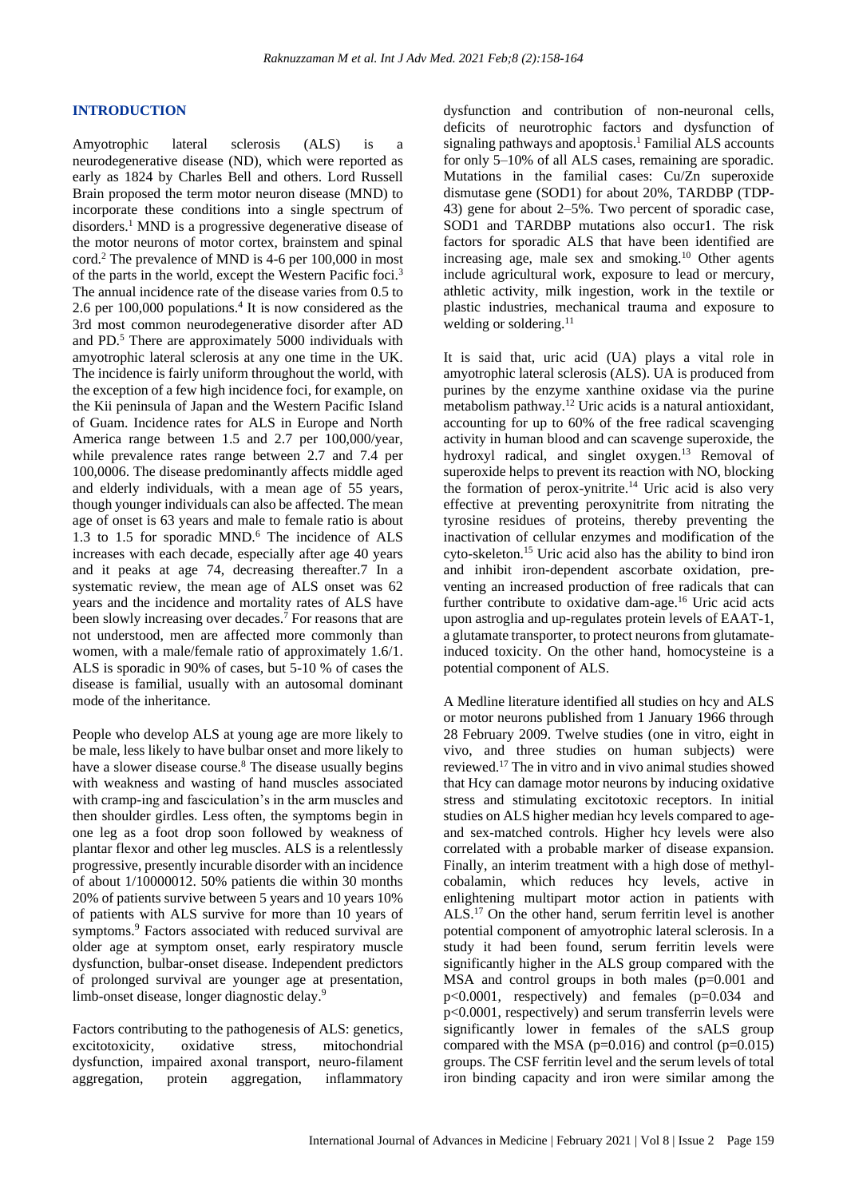#### **INTRODUCTION**

Amyotrophic lateral sclerosis (ALS) is a neurodegenerative disease (ND), which were reported as early as 1824 by Charles Bell and others. Lord Russell Brain proposed the term motor neuron disease (MND) to incorporate these conditions into a single spectrum of disorders.<sup>1</sup> MND is a progressive degenerative disease of the motor neurons of motor cortex, brainstem and spinal cord.<sup>2</sup> The prevalence of MND is 4-6 per 100,000 in most of the parts in the world, except the Western Pacific foci.<sup>3</sup> The annual incidence rate of the disease varies from 0.5 to 2.6 per  $100,000$  populations.<sup>4</sup> It is now considered as the 3rd most common neurodegenerative disorder after AD and PD.<sup>5</sup> There are approximately 5000 individuals with amyotrophic lateral sclerosis at any one time in the UK. The incidence is fairly uniform throughout the world, with the exception of a few high incidence foci, for example, on the Kii peninsula of Japan and the Western Pacific Island of Guam. Incidence rates for ALS in Europe and North America range between 1.5 and 2.7 per 100,000/year, while prevalence rates range between 2.7 and 7.4 per 100,0006. The disease predominantly affects middle aged and elderly individuals, with a mean age of 55 years, though younger individuals can also be affected. The mean age of onset is 63 years and male to female ratio is about 1.3 to 1.5 for sporadic MND.<sup>6</sup> The incidence of ALS increases with each decade, especially after age 40 years and it peaks at age 74, decreasing thereafter.7 In a systematic review, the mean age of ALS onset was 62 years and the incidence and mortality rates of ALS have been slowly increasing over decades.<sup>7</sup> For reasons that are not understood, men are affected more commonly than women, with a male/female ratio of approximately 1.6/1. ALS is sporadic in 90% of cases, but 5-10 % of cases the disease is familial, usually with an autosomal dominant mode of the inheritance.

People who develop ALS at young age are more likely to be male, less likely to have bulbar onset and more likely to have a slower disease course.<sup>8</sup> The disease usually begins with weakness and wasting of hand muscles associated with cramp-ing and fasciculation's in the arm muscles and then shoulder girdles. Less often, the symptoms begin in one leg as a foot drop soon followed by weakness of plantar flexor and other leg muscles. ALS is a relentlessly progressive, presently incurable disorder with an incidence of about 1/10000012. 50% patients die within 30 months 20% of patients survive between 5 years and 10 years 10% of patients with ALS survive for more than 10 years of symptoms.<sup>9</sup> Factors associated with reduced survival are older age at symptom onset, early respiratory muscle dysfunction, bulbar-onset disease. Independent predictors of prolonged survival are younger age at presentation, limb-onset disease, longer diagnostic delay.<sup>9</sup>

Factors contributing to the pathogenesis of ALS: genetics, excitotoxicity, oxidative stress, mitochondrial dysfunction, impaired axonal transport, neuro-filament aggregation, protein aggregation, inflammatory dysfunction and contribution of non-neuronal cells, deficits of neurotrophic factors and dysfunction of signaling pathways and apoptosis.<sup>1</sup> Familial ALS accounts for only 5–10% of all ALS cases, remaining are sporadic. Mutations in the familial cases: Cu/Zn superoxide dismutase gene (SOD1) for about 20%, TARDBP (TDP-43) gene for about 2–5%. Two percent of sporadic case, SOD1 and TARDBP mutations also occur1. The risk factors for sporadic ALS that have been identified are increasing age, male sex and smoking.<sup>10</sup> Other agents include agricultural work, exposure to lead or mercury, athletic activity, milk ingestion, work in the textile or plastic industries, mechanical trauma and exposure to welding or soldering.<sup>11</sup>

It is said that, uric acid (UA) plays a vital role in amyotrophic lateral sclerosis (ALS). UA is produced from purines by the enzyme xanthine oxidase via the purine metabolism pathway.<sup>12</sup> Uric acids is a natural antioxidant, accounting for up to 60% of the free radical scavenging activity in human blood and can scavenge superoxide, the hydroxyl radical, and singlet oxygen.<sup>13</sup> Removal of superoxide helps to prevent its reaction with NO, blocking the formation of perox-ynitrite.<sup>14</sup> Uric acid is also very effective at preventing peroxynitrite from nitrating the tyrosine residues of proteins, thereby preventing the inactivation of cellular enzymes and modification of the cyto-skeleton.<sup>15</sup> Uric acid also has the ability to bind iron and inhibit iron-dependent ascorbate oxidation, preventing an increased production of free radicals that can further contribute to oxidative dam-age.<sup>16</sup> Uric acid acts upon astroglia and up-regulates protein levels of EAAT-1, a glutamate transporter, to protect neurons from glutamateinduced toxicity. On the other hand, homocysteine is a potential component of ALS.

A Medline literature identified all studies on hcy and ALS or motor neurons published from 1 January 1966 through 28 February 2009. Twelve studies (one in vitro, eight in vivo, and three studies on human subjects) were reviewed.<sup>17</sup> The in vitro and in vivo animal studies showed that Hcy can damage motor neurons by inducing oxidative stress and stimulating excitotoxic receptors. In initial studies on ALS higher median hcy levels compared to ageand sex-matched controls. Higher hcy levels were also correlated with a probable marker of disease expansion. Finally, an interim treatment with a high dose of methylcobalamin, which reduces hcy levels, active in enlightening multipart motor action in patients with ALS.<sup>17</sup> On the other hand, serum ferritin level is another potential component of amyotrophic lateral sclerosis. In a study it had been found, serum ferritin levels were significantly higher in the ALS group compared with the MSA and control groups in both males (p=0.001 and p<0.0001, respectively) and females (p=0.034 and p<0.0001, respectively) and serum transferrin levels were significantly lower in females of the sALS group compared with the MSA ( $p=0.016$ ) and control ( $p=0.015$ ) groups. The CSF ferritin level and the serum levels of total iron binding capacity and iron were similar among the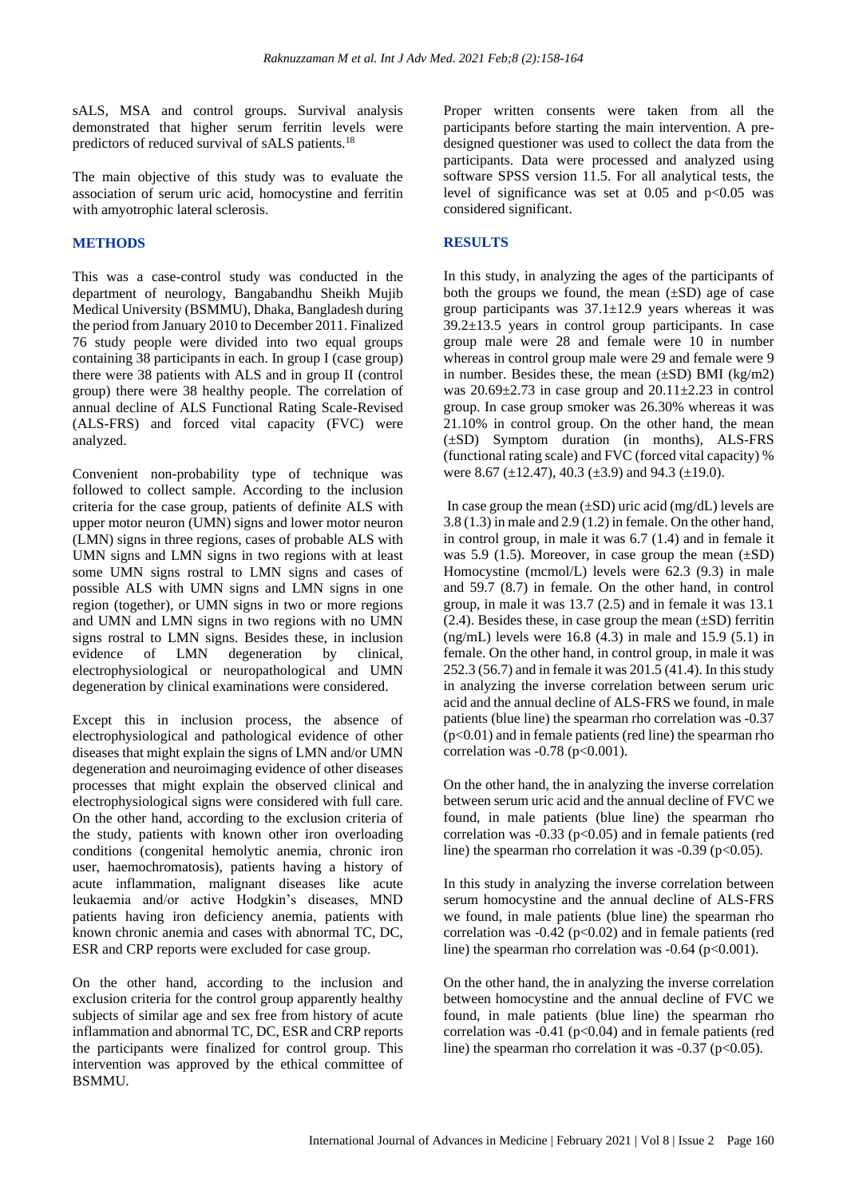sALS, MSA and control groups. Survival analysis demonstrated that higher serum ferritin levels were predictors of reduced survival of sALS patients.<sup>18</sup>

The main objective of this study was to evaluate the association of serum uric acid, homocystine and ferritin with amyotrophic lateral sclerosis.

## **METHODS**

This was a case-control study was conducted in the department of neurology, Bangabandhu Sheikh Mujib Medical University (BSMMU), Dhaka, Bangladesh during the period from January 2010 to December 2011. Finalized 76 study people were divided into two equal groups containing 38 participants in each. In group I (case group) there were 38 patients with ALS and in group II (control group) there were 38 healthy people. The correlation of annual decline of ALS Functional Rating Scale-Revised (ALS-FRS) and forced vital capacity (FVC) were analyzed.

Convenient non-probability type of technique was followed to collect sample. According to the inclusion criteria for the case group, patients of definite ALS with upper motor neuron (UMN) signs and lower motor neuron (LMN) signs in three regions, cases of probable ALS with UMN signs and LMN signs in two regions with at least some UMN signs rostral to LMN signs and cases of possible ALS with UMN signs and LMN signs in one region (together), or UMN signs in two or more regions and UMN and LMN signs in two regions with no UMN signs rostral to LMN signs. Besides these, in inclusion evidence of LMN degeneration by clinical, electrophysiological or neuropathological and UMN degeneration by clinical examinations were considered.

Except this in inclusion process, the absence of electrophysiological and pathological evidence of other diseases that might explain the signs of LMN and/or UMN degeneration and neuroimaging evidence of other diseases processes that might explain the observed clinical and electrophysiological signs were considered with full care. On the other hand, according to the exclusion criteria of the study, patients with known other iron overloading conditions (congenital hemolytic anemia, chronic iron user, haemochromatosis), patients having a history of acute inflammation, malignant diseases like acute leukaemia and/or active Hodgkin's diseases, MND patients having iron deficiency anemia, patients with known chronic anemia and cases with abnormal TC, DC, ESR and CRP reports were excluded for case group.

On the other hand, according to the inclusion and exclusion criteria for the control group apparently healthy subjects of similar age and sex free from history of acute inflammation and abnormal TC, DC, ESR and CRP reports the participants were finalized for control group. This intervention was approved by the ethical committee of BSMMU.

Proper written consents were taken from all the participants before starting the main intervention. A predesigned questioner was used to collect the data from the participants. Data were processed and analyzed using software SPSS version 11.5. For all analytical tests, the level of significance was set at  $0.05$  and  $p<0.05$  was considered significant.

## **RESULTS**

In this study, in analyzing the ages of the participants of both the groups we found, the mean  $(\pm SD)$  age of case group participants was  $37.1 \pm 12.9$  years whereas it was 39.2±13.5 years in control group participants. In case group male were 28 and female were 10 in number whereas in control group male were 29 and female were 9 in number. Besides these, the mean  $(\pm SD)$  BMI (kg/m2) was  $20.69\pm2.73$  in case group and  $20.11\pm2.23$  in control group. In case group smoker was 26.30% whereas it was 21.10% in control group. On the other hand, the mean (±SD) Symptom duration (in months), ALS-FRS (functional rating scale) and FVC (forced vital capacity) % were 8.67 ( $\pm$ 12.47), 40.3 ( $\pm$ 3.9) and 94.3 ( $\pm$ 19.0).

In case group the mean  $(\pm SD)$  uric acid (mg/dL) levels are 3.8 (1.3) in male and 2.9 (1.2) in female. On the other hand, in control group, in male it was 6.7 (1.4) and in female it was 5.9 (1.5). Moreover, in case group the mean  $(\pm SD)$ Homocystine (mcmol/L) levels were 62.3 (9.3) in male and 59.7 (8.7) in female. On the other hand, in control group, in male it was 13.7 (2.5) and in female it was 13.1  $(2.4)$ . Besides these, in case group the mean  $(\pm SD)$  ferritin (ng/mL) levels were  $16.8$  (4.3) in male and  $15.9$  (5.1) in female. On the other hand, in control group, in male it was 252.3 (56.7) and in female it was 201.5 (41.4). In this study in analyzing the inverse correlation between serum uric acid and the annual decline of ALS-FRS we found, in male patients (blue line) the spearman rho correlation was -0.37  $(p<0.01)$  and in female patients (red line) the spearman rho correlation was  $-0.78$  (p $<0.001$ ).

On the other hand, the in analyzing the inverse correlation between serum uric acid and the annual decline of FVC we found, in male patients (blue line) the spearman rho correlation was  $-0.33$  ( $p<0.05$ ) and in female patients (red line) the spearman rho correlation it was  $-0.39$  (p $< 0.05$ ).

In this study in analyzing the inverse correlation between serum homocystine and the annual decline of ALS-FRS we found, in male patients (blue line) the spearman rho correlation was  $-0.42$  ( $p<0.02$ ) and in female patients (red line) the spearman rho correlation was  $-0.64$  (p $<0.001$ ).

On the other hand, the in analyzing the inverse correlation between homocystine and the annual decline of FVC we found, in male patients (blue line) the spearman rho correlation was  $-0.41$  (p<0.04) and in female patients (red line) the spearman rho correlation it was  $-0.37$  (p $< 0.05$ ).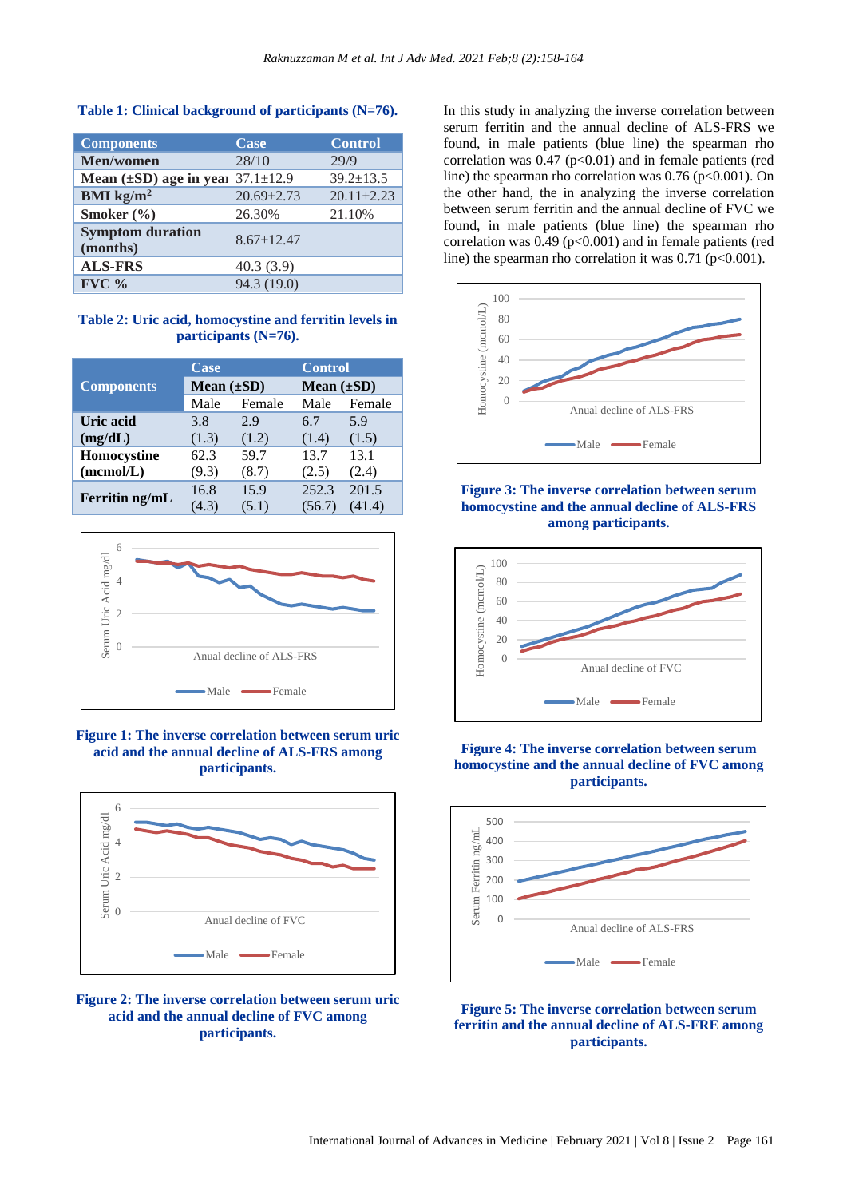| <b>Components</b>                   | Case             | <b>Control</b>   |
|-------------------------------------|------------------|------------------|
| Men/women                           | 28/10            | 29/9             |
| Mean $(\pm SD)$ age in year         | $37.1 \pm 12.9$  | $39.2 \pm 13.5$  |
| BMI $\text{kg/m}^2$                 | $20.69 \pm 2.73$ | $20.11 \pm 2.23$ |
| Smoker $(\% )$                      | 26.30%           | 21.10%           |
| <b>Symptom duration</b><br>(months) | $8.67 \pm 12.47$ |                  |
| <b>ALS-FRS</b>                      | 40.3(3.9)        |                  |
| $FVC$ %                             | 94.3 (19.0)      |                  |

## **Table 1: Clinical background of participants (N=76).**

## **Table 2: Uric acid, homocystine and ferritin levels in participants (N=76).**

|                   | Case            |        | <b>Control</b>  |        |
|-------------------|-----------------|--------|-----------------|--------|
| <b>Components</b> | Mean $(\pm SD)$ |        | Mean $(\pm SD)$ |        |
|                   | Male            | Female | Male            | Female |
| Uric acid         | 3.8             | 2.9    | 6.7             | 5.9    |
| (mg/dL)           | (1.3)           | (1.2)  | (1.4)           | (1.5)  |
| Homocystine       | 62.3            | 59.7   | 13.7            | 13.1   |
| (mcmol/L)         | (9.3)           | (8.7)  | (2.5)           | (2.4)  |
| Ferritin ng/mL    | 16.8            | 15.9   | 252.3           | 201.5  |
|                   | (4.3)           | (5.1)  | (56.7)          | (41.4) |



#### **Figure 1: The inverse correlation between serum uric acid and the annual decline of ALS-FRS among participants.**





In this study in analyzing the inverse correlation between serum ferritin and the annual decline of ALS-FRS we found, in male patients (blue line) the spearman rho correlation was  $0.47$  (p<0.01) and in female patients (red line) the spearman rho correlation was 0.76 (p<0.001). On the other hand, the in analyzing the inverse correlation between serum ferritin and the annual decline of FVC we found, in male patients (blue line) the spearman rho correlation was  $0.49$  ( $p<0.001$ ) and in female patients (red line) the spearman rho correlation it was  $0.71$  (p<0.001).



**Figure 3: The inverse correlation between serum homocystine and the annual decline of ALS-FRS among participants.**



## **Figure 4: The inverse correlation between serum homocystine and the annual decline of FVC among participants.**



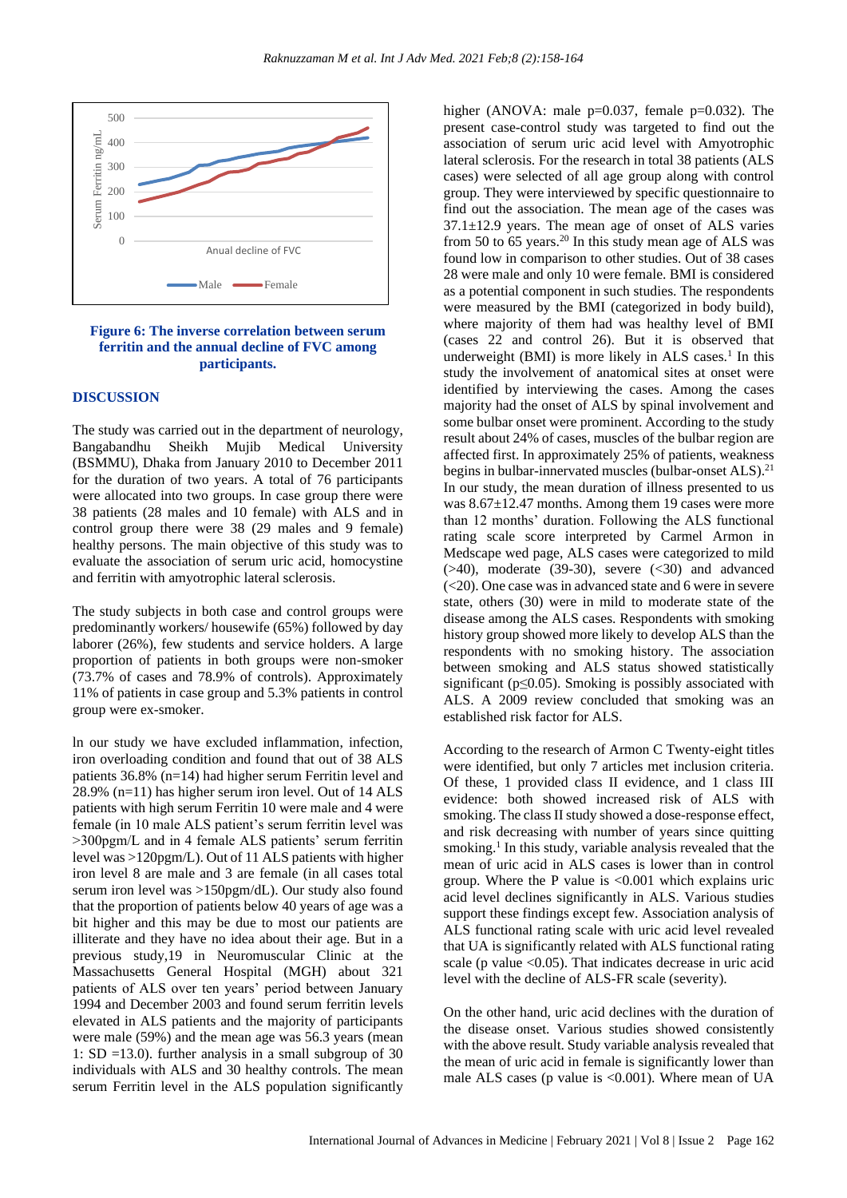

#### **Figure 6: The inverse correlation between serum ferritin and the annual decline of FVC among participants.**

## **DISCUSSION**

The study was carried out in the department of neurology, Bangabandhu Sheikh Mujib Medical University (BSMMU), Dhaka from January 2010 to December 2011 for the duration of two years. A total of 76 participants were allocated into two groups. In case group there were 38 patients (28 males and 10 female) with ALS and in control group there were 38 (29 males and 9 female) healthy persons. The main objective of this study was to evaluate the association of serum uric acid, homocystine and ferritin with amyotrophic lateral sclerosis.

The study subjects in both case and control groups were predominantly workers/ housewife (65%) followed by day laborer (26%), few students and service holders. A large proportion of patients in both groups were non-smoker (73.7% of cases and 78.9% of controls). Approximately 11% of patients in case group and 5.3% patients in control group were ex-smoker.

ln our study we have excluded inflammation, infection, iron overloading condition and found that out of 38 ALS patients 36.8% (n=14) had higher serum Ferritin level and 28.9% (n=11) has higher serum iron level. Out of 14 ALS patients with high serum Ferritin 10 were male and 4 were female (in 10 male ALS patient's serum ferritin level was >300pgm/L and in 4 female ALS patients' serum ferritin level was >120pgm/L). Out of 11 ALS patients with higher iron level 8 are male and 3 are female (in all cases total serum iron level was >150pgm/dL). Our study also found that the proportion of patients below 40 years of age was a bit higher and this may be due to most our patients are illiterate and they have no idea about their age. But in a previous study,19 in Neuromuscular Clinic at the Massachusetts General Hospital (MGH) about 321 patients of ALS over ten years' period between January 1994 and December 2003 and found serum ferritin levels elevated in ALS patients and the majority of participants were male (59%) and the mean age was 56.3 years (mean 1: SD =13.0). further analysis in a small subgroup of 30 individuals with ALS and 30 healthy controls. The mean serum Ferritin level in the ALS population significantly higher (ANOVA: male p=0.037, female p=0.032). The present case-control study was targeted to find out the association of serum uric acid level with Amyotrophic lateral sclerosis. For the research in total 38 patients (ALS cases) were selected of all age group along with control group. They were interviewed by specific questionnaire to find out the association. The mean age of the cases was 37.1±12.9 years. The mean age of onset of ALS varies from 50 to 65 years.<sup>20</sup> In this study mean age of ALS was found low in comparison to other studies. Out of 38 cases 28 were male and only 10 were female. BMI is considered as a potential component in such studies. The respondents were measured by the BMI (categorized in body build), where majority of them had was healthy level of BMI (cases 22 and control 26). But it is observed that underweight (BMI) is more likely in ALS cases. $<sup>1</sup>$  In this</sup> study the involvement of anatomical sites at onset were identified by interviewing the cases. Among the cases majority had the onset of ALS by spinal involvement and some bulbar onset were prominent. According to the study result about 24% of cases, muscles of the bulbar region are affected first. In approximately 25% of patients, weakness begins in bulbar-innervated muscles (bulbar-onset ALS).<sup>21</sup> In our study, the mean duration of illness presented to us was  $8.67 \pm 12.47$  months. Among them 19 cases were more than 12 months' duration. Following the ALS functional rating scale score interpreted by Carmel Armon in Medscape wed page, ALS cases were categorized to mild  $(>40)$ , moderate  $(39-30)$ , severe  $( $30$ )$  and advanced (<20). One case was in advanced state and 6 were in severe state, others (30) were in mild to moderate state of the disease among the ALS cases. Respondents with smoking history group showed more likely to develop ALS than the respondents with no smoking history. The association between smoking and ALS status showed statistically significant ( $p \le 0.05$ ). Smoking is possibly associated with ALS. A 2009 review concluded that smoking was an established risk factor for ALS.

According to the research of Armon C Twenty-eight titles were identified, but only 7 articles met inclusion criteria. Of these, 1 provided class II evidence, and 1 class III evidence: both showed increased risk of ALS with smoking. The class II study showed a dose-response effect, and risk decreasing with number of years since quitting smoking.<sup>1</sup> In this study, variable analysis revealed that the mean of uric acid in ALS cases is lower than in control group. Where the P value is  $\leq 0.001$  which explains uric acid level declines significantly in ALS. Various studies support these findings except few. Association analysis of ALS functional rating scale with uric acid level revealed that UA is significantly related with ALS functional rating scale ( $p$  value  $\langle 0.05 \rangle$ ). That indicates decrease in uric acid level with the decline of ALS-FR scale (severity).

On the other hand, uric acid declines with the duration of the disease onset. Various studies showed consistently with the above result. Study variable analysis revealed that the mean of uric acid in female is significantly lower than male ALS cases (p value is  $<0.001$ ). Where mean of UA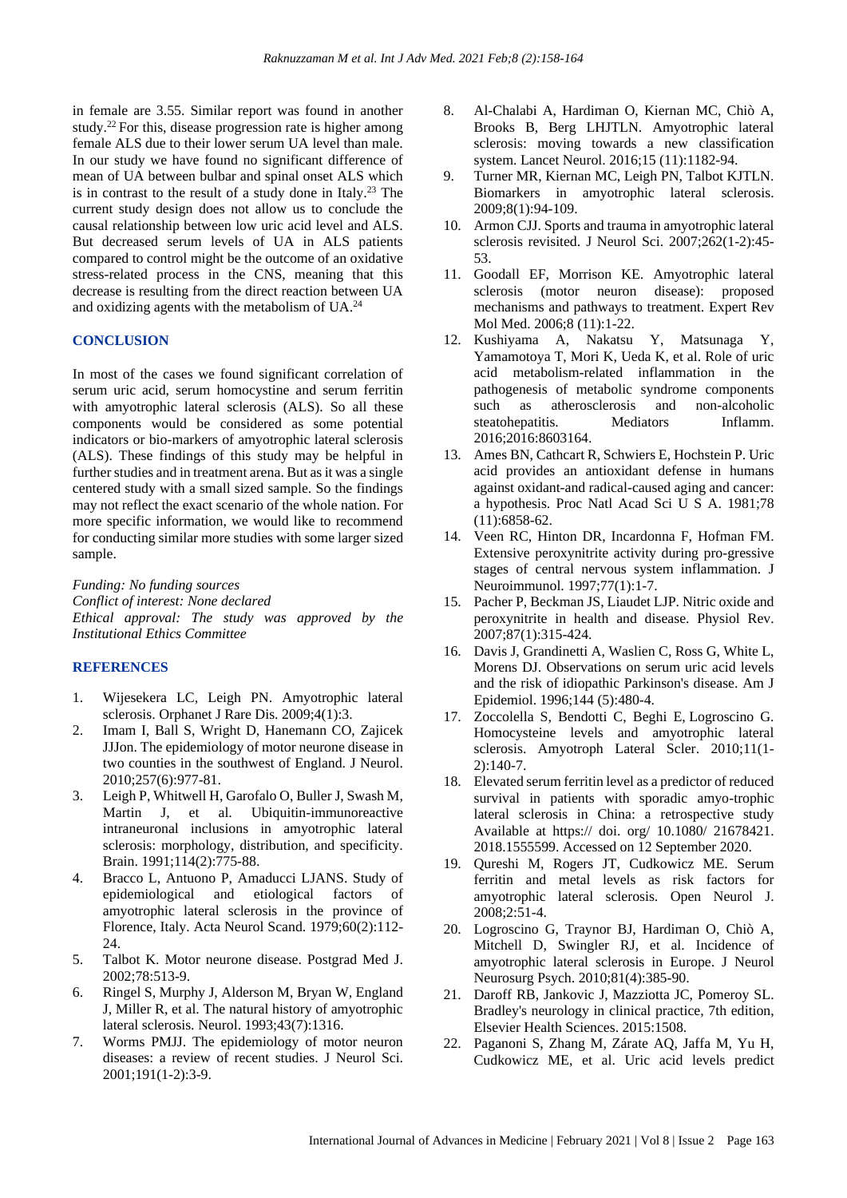in female are 3.55. Similar report was found in another study.<sup>22</sup> For this, disease progression rate is higher among female ALS due to their lower serum UA level than male. In our study we have found no significant difference of mean of UA between bulbar and spinal onset ALS which is in contrast to the result of a study done in Italy.<sup>23</sup> The current study design does not allow us to conclude the causal relationship between low uric acid level and ALS. But decreased serum levels of UA in ALS patients compared to control might be the outcome of an oxidative stress-related process in the CNS, meaning that this decrease is resulting from the direct reaction between UA and oxidizing agents with the metabolism of UA.<sup>24</sup>

## **CONCLUSION**

In most of the cases we found significant correlation of serum uric acid, serum homocystine and serum ferritin with amyotrophic lateral sclerosis (ALS). So all these components would be considered as some potential indicators or bio-markers of amyotrophic lateral sclerosis (ALS). These findings of this study may be helpful in further studies and in treatment arena. But as it was a single centered study with a small sized sample. So the findings may not reflect the exact scenario of the whole nation. For more specific information, we would like to recommend for conducting similar more studies with some larger sized sample.

*Funding: No funding sources Conflict of interest: None declared Ethical approval: The study was approved by the Institutional Ethics Committee*

## **REFERENCES**

- 1. Wijesekera LC, Leigh PN. Amyotrophic lateral sclerosis. Orphanet J Rare Dis. 2009;4(1):3.
- 2. Imam I, Ball S, Wright D, Hanemann CO, Zajicek JJJon. The epidemiology of motor neurone disease in two counties in the southwest of England. J Neurol. 2010;257(6):977-81.
- 3. Leigh P, Whitwell H, Garofalo O, Buller J, Swash M, Martin J, et al. Ubiquitin-immunoreactive intraneuronal inclusions in amyotrophic lateral sclerosis: morphology, distribution, and specificity. Brain. 1991;114(2):775-88.
- 4. Bracco L, Antuono P, Amaducci LJANS. Study of epidemiological and etiological factors of amyotrophic lateral sclerosis in the province of Florence, Italy. Acta Neurol Scand. 1979;60(2):112- 24.
- 5. Talbot K. Motor neurone disease. Postgrad Med J. 2002;78:513-9.
- 6. Ringel S, Murphy J, Alderson M, Bryan W, England J, Miller R, et al. The natural history of amyotrophic lateral sclerosis. Neurol. 1993;43(7):1316.
- 7. Worms PMJJ. The epidemiology of motor neuron diseases: a review of recent studies. J Neurol Sci. 2001;191(1-2):3-9.
- 8. Al-Chalabi A, Hardiman O, Kiernan MC, Chiò A, Brooks B, Berg LHJTLN. Amyotrophic lateral sclerosis: moving towards a new classification system. Lancet Neurol. 2016;15 (11):1182-94.
- 9. Turner MR, Kiernan MC, Leigh PN, Talbot KJTLN. Biomarkers in amyotrophic lateral sclerosis. 2009;8(1):94-109.
- 10. Armon CJJ. Sports and trauma in amyotrophic lateral sclerosis revisited. J Neurol Sci. 2007;262(1-2):45- 53.
- 11. Goodall EF, Morrison KE. Amyotrophic lateral sclerosis (motor neuron disease): proposed mechanisms and pathways to treatment. Expert Rev Mol Med. 2006;8 (11):1-22.
- 12. Kushiyama A, Nakatsu Y, Matsunaga Y, Yamamotoya T, Mori K, Ueda K, et al. Role of uric acid metabolism-related inflammation in the pathogenesis of metabolic syndrome components such as atherosclerosis and non-alcoholic steatohepatitis. Mediators Inflamm. 2016;2016:8603164.
- 13. Ames BN, Cathcart R, Schwiers E, Hochstein P. Uric acid provides an antioxidant defense in humans against oxidant-and radical-caused aging and cancer: a hypothesis. Proc Natl Acad Sci U S A. 1981;78 (11):6858-62.
- 14. Veen RC, Hinton DR, Incardonna F, Hofman FM. Extensive peroxynitrite activity during pro-gressive stages of central nervous system inflammation. J Neuroimmunol. 1997;77(1):1-7.
- 15. Pacher P, Beckman JS, Liaudet LJP. Nitric oxide and peroxynitrite in health and disease. Physiol Rev. 2007;87(1):315-424.
- 16. Davis J, Grandinetti A, Waslien C, Ross G, White L, Morens DJ. Observations on serum uric acid levels and the risk of idiopathic Parkinson's disease. Am J Epidemiol. 1996;144 (5):480-4.
- 17. Zoccolella S, Bendotti C, Beghi E, Logroscino G. Homocysteine levels and amyotrophic lateral sclerosis. Amyotroph Lateral Scler. 2010;11(1- 2):140-7.
- 18. Elevated serum ferritin level as a predictor of reduced survival in patients with sporadic amyo-trophic lateral sclerosis in China: a retrospective study Available at https:// doi. org/ 10.1080/ 21678421. 2018.1555599. Accessed on 12 September 2020.
- 19. Qureshi M, Rogers JT, Cudkowicz ME. Serum ferritin and metal levels as risk factors for amyotrophic lateral sclerosis. Open Neurol J. 2008;2:51-4.
- 20. Logroscino G, Traynor BJ, Hardiman O, Chiò A, Mitchell D, Swingler RJ, et al. Incidence of amyotrophic lateral sclerosis in Europe. J Neurol Neurosurg Psych. 2010;81(4):385-90.
- 21. Daroff RB, Jankovic J, Mazziotta JC, Pomeroy SL. Bradley's neurology in clinical practice, 7th edition, Elsevier Health Sciences. 2015:1508.
- 22. Paganoni S, Zhang M, Zárate AQ, Jaffa M, Yu H, Cudkowicz ME, et al. Uric acid levels predict